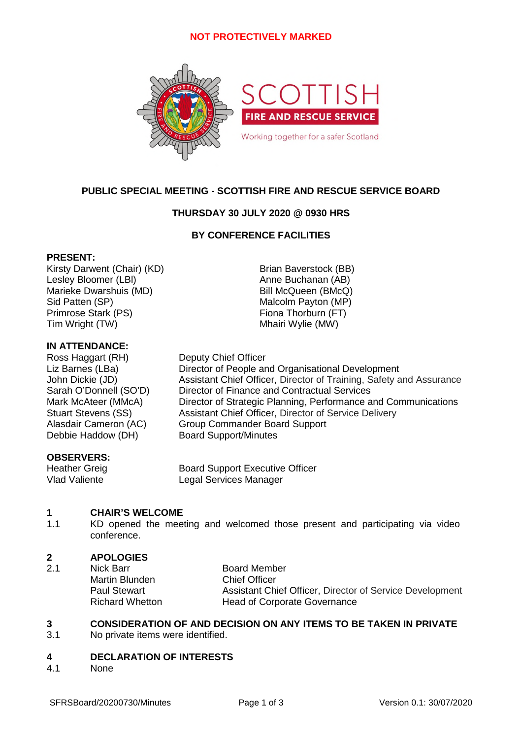# **NOT PROTECTIVELY MARKED**



# **PUBLIC SPECIAL MEETING - SCOTTISH FIRE AND RESCUE SERVICE BOARD**

# **THURSDAY 30 JULY 2020 @ 0930 HRS**

# **BY CONFERENCE FACILITIES**

### **PRESENT:**

Kirsty Darwent (Chair) (KD) Brian Baverstock (BB) Lesley Bloomer (LBI) and the Anne Buchanan (AB) Marieke Dwarshuis (MD) Bill McQueen (BMcQ) Sid Patten (SP) Malcolm Payton (MP) Primrose Stark (PS) Fiona Thorburn (FT) Tim Wright (TW) Tim Wright (TW)

### **IN ATTENDANCE:**

Ross Haggart (RH) Deputy Chief Officer Liz Barnes (LBa) Director of People and Organisational Development John Dickie (JD) Assistant Chief Officer, Director of Training, Safety and Assurance Sarah O'Donnell (SO'D) Director of Finance and Contractual Services Mark McAteer (MMcA) Director of Strategic Planning, Performance and Communications Stuart Stevens (SS) Assistant Chief Officer, Director of Service Delivery Alasdair Cameron (AC) Group Commander Board Support Debbie Haddow (DH) Board Support/Minutes

## **OBSERVERS:**

Heather Greig **Board Support Executive Officer** Vlad Valiente Legal Services Manager

#### **1 CHAIR'S WELCOME**

1.1 KD opened the meeting and welcomed those present and participating via video conference.

#### **2 APOLOGIES**

2.1 Nick Barr **Board Member** Martin Blunden Chief Officer Paul Stewart **Assistant Chief Officer, Director of Service Development** Richard Whetton **Head of Corporate Governance** 

### **3 CONSIDERATION OF AND DECISION ON ANY ITEMS TO BE TAKEN IN PRIVATE**

3.1 No private items were identified.

#### **4 DECLARATION OF INTERESTS**

4.1 None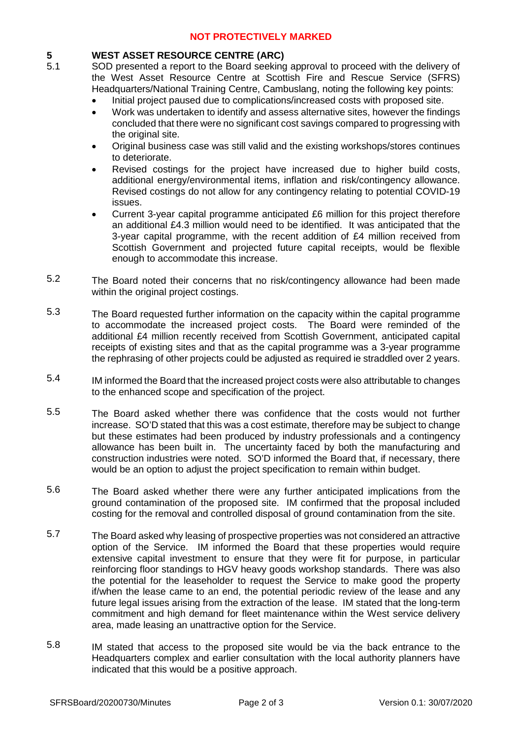# **NOT PROTECTIVELY MARKED**

### **5 WEST ASSET RESOURCE CENTRE (ARC)**

- 5.1 SOD presented a report to the Board seeking approval to proceed with the delivery of the West Asset Resource Centre at Scottish Fire and Rescue Service (SFRS) Headquarters/National Training Centre, Cambuslang, noting the following key points:
	- Initial project paused due to complications/increased costs with proposed site.
	- Work was undertaken to identify and assess alternative sites, however the findings concluded that there were no significant cost savings compared to progressing with the original site.
	- Original business case was still valid and the existing workshops/stores continues to deteriorate.
	- Revised costings for the project have increased due to higher build costs, additional energy/environmental items, inflation and risk/contingency allowance. Revised costings do not allow for any contingency relating to potential COVID-19 issues.
	- Current 3-year capital programme anticipated £6 million for this project therefore an additional £4.3 million would need to be identified. It was anticipated that the 3-year capital programme, with the recent addition of £4 million received from Scottish Government and projected future capital receipts, would be flexible enough to accommodate this increase.
- 5.2 The Board noted their concerns that no risk/contingency allowance had been made within the original project costings.
- 5.3 The Board requested further information on the capacity within the capital programme to accommodate the increased project costs. The Board were reminded of the additional £4 million recently received from Scottish Government, anticipated capital receipts of existing sites and that as the capital programme was a 3-year programme the rephrasing of other projects could be adjusted as required ie straddled over 2 years.
- 5.4 IM informed the Board that the increased project costs were also attributable to changes to the enhanced scope and specification of the project.
- 5.5 The Board asked whether there was confidence that the costs would not further increase. SO'D stated that this was a cost estimate, therefore may be subject to change but these estimates had been produced by industry professionals and a contingency allowance has been built in. The uncertainty faced by both the manufacturing and construction industries were noted. SO'D informed the Board that, if necessary, there would be an option to adjust the project specification to remain within budget.
- 5.6 The Board asked whether there were any further anticipated implications from the ground contamination of the proposed site. IM confirmed that the proposal included costing for the removal and controlled disposal of ground contamination from the site.
- 5.7 The Board asked why leasing of prospective properties was not considered an attractive option of the Service. IM informed the Board that these properties would require extensive capital investment to ensure that they were fit for purpose, in particular reinforcing floor standings to HGV heavy goods workshop standards. There was also the potential for the leaseholder to request the Service to make good the property if/when the lease came to an end, the potential periodic review of the lease and any future legal issues arising from the extraction of the lease. IM stated that the long-term commitment and high demand for fleet maintenance within the West service delivery area, made leasing an unattractive option for the Service.
- 5.8 IM stated that access to the proposed site would be via the back entrance to the Headquarters complex and earlier consultation with the local authority planners have indicated that this would be a positive approach.